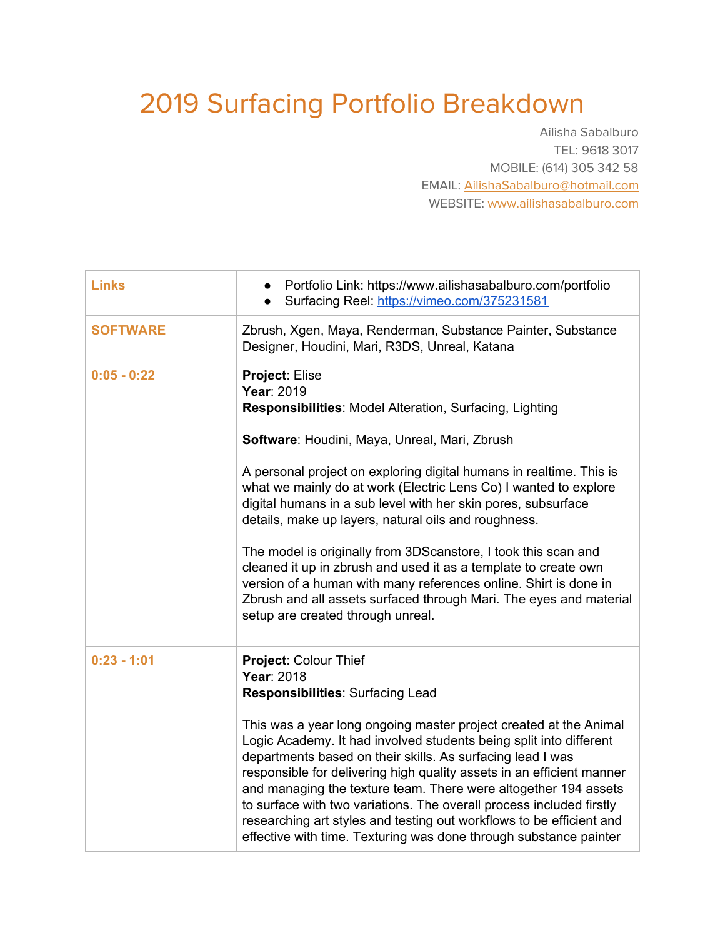## 2019 Surfacing Portfolio Breakdown

Ailisha Sabalburo TEL: 9618 3017 MOBILE: (614) 305 342 58 EMAIL: [AilishaSabalburo@hotmail.com](mailto:AilishaSabalburo@hotmail.com) WEBSITE: [www.ailishasabalburo.com](http://www.ailishasabalburo.com/)

| <b>Links</b>    | Portfolio Link: https://www.ailishasabalburo.com/portfolio<br>Surfacing Reel: https://vimeo.com/375231581                                                                                                                                                                                                                                                                                                                                                                                                                                                                                                                                                                                                                               |
|-----------------|-----------------------------------------------------------------------------------------------------------------------------------------------------------------------------------------------------------------------------------------------------------------------------------------------------------------------------------------------------------------------------------------------------------------------------------------------------------------------------------------------------------------------------------------------------------------------------------------------------------------------------------------------------------------------------------------------------------------------------------------|
| <b>SOFTWARE</b> | Zbrush, Xgen, Maya, Renderman, Substance Painter, Substance<br>Designer, Houdini, Mari, R3DS, Unreal, Katana                                                                                                                                                                                                                                                                                                                                                                                                                                                                                                                                                                                                                            |
| $0:05 - 0:22$   | Project: Elise<br>Year: 2019<br><b>Responsibilities: Model Alteration, Surfacing, Lighting</b><br>Software: Houdini, Maya, Unreal, Mari, Zbrush<br>A personal project on exploring digital humans in realtime. This is<br>what we mainly do at work (Electric Lens Co) I wanted to explore<br>digital humans in a sub level with her skin pores, subsurface<br>details, make up layers, natural oils and roughness.<br>The model is originally from 3DScanstore, I took this scan and<br>cleaned it up in zbrush and used it as a template to create own<br>version of a human with many references online. Shirt is done in<br>Zbrush and all assets surfaced through Mari. The eyes and material<br>setup are created through unreal. |
| $0:23 - 1:01$   | Project: Colour Thief<br>Year: 2018<br>Responsibilities: Surfacing Lead<br>This was a year long ongoing master project created at the Animal<br>Logic Academy. It had involved students being split into different<br>departments based on their skills. As surfacing lead I was<br>responsible for delivering high quality assets in an efficient manner<br>and managing the texture team. There were altogether 194 assets<br>to surface with two variations. The overall process included firstly<br>researching art styles and testing out workflows to be efficient and<br>effective with time. Texturing was done through substance painter                                                                                       |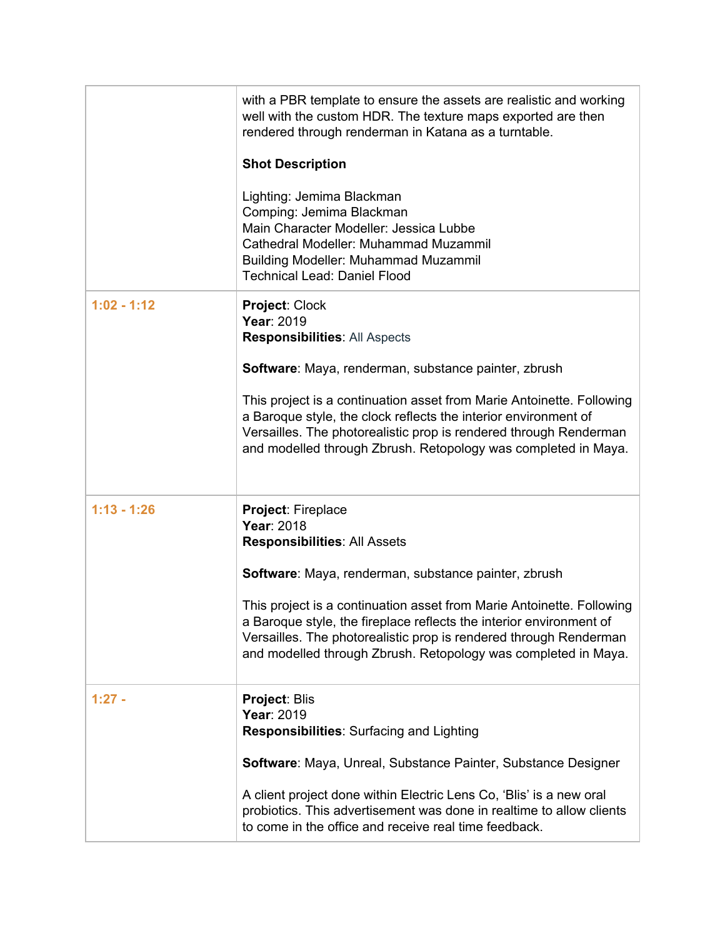|               | with a PBR template to ensure the assets are realistic and working<br>well with the custom HDR. The texture maps exported are then<br>rendered through renderman in Katana as a turntable.                                                                                          |
|---------------|-------------------------------------------------------------------------------------------------------------------------------------------------------------------------------------------------------------------------------------------------------------------------------------|
|               | <b>Shot Description</b>                                                                                                                                                                                                                                                             |
|               | Lighting: Jemima Blackman<br>Comping: Jemima Blackman<br>Main Character Modeller: Jessica Lubbe<br>Cathedral Modeller: Muhammad Muzammil<br><b>Building Modeller: Muhammad Muzammil</b><br><b>Technical Lead: Daniel Flood</b>                                                      |
| $1:02 - 1:12$ | Project: Clock<br>Year: 2019<br><b>Responsibilities: All Aspects</b>                                                                                                                                                                                                                |
|               | Software: Maya, renderman, substance painter, zbrush                                                                                                                                                                                                                                |
|               | This project is a continuation asset from Marie Antoinette. Following<br>a Baroque style, the clock reflects the interior environment of<br>Versailles. The photorealistic prop is rendered through Renderman<br>and modelled through Zbrush. Retopology was completed in Maya.     |
| $1:13 - 1:26$ | Project: Fireplace<br>Year: 2018<br><b>Responsibilities: All Assets</b>                                                                                                                                                                                                             |
|               | Software: Maya, renderman, substance painter, zbrush                                                                                                                                                                                                                                |
|               | This project is a continuation asset from Marie Antoinette. Following<br>a Baroque style, the fireplace reflects the interior environment of<br>Versailles. The photorealistic prop is rendered through Renderman<br>and modelled through Zbrush. Retopology was completed in Maya. |
| $1:27 -$      | Project: Blis<br>Year: 2019<br>Responsibilities: Surfacing and Lighting                                                                                                                                                                                                             |
|               | Software: Maya, Unreal, Substance Painter, Substance Designer                                                                                                                                                                                                                       |
|               | A client project done within Electric Lens Co, 'Blis' is a new oral<br>probiotics. This advertisement was done in realtime to allow clients<br>to come in the office and receive real time feedback.                                                                                |